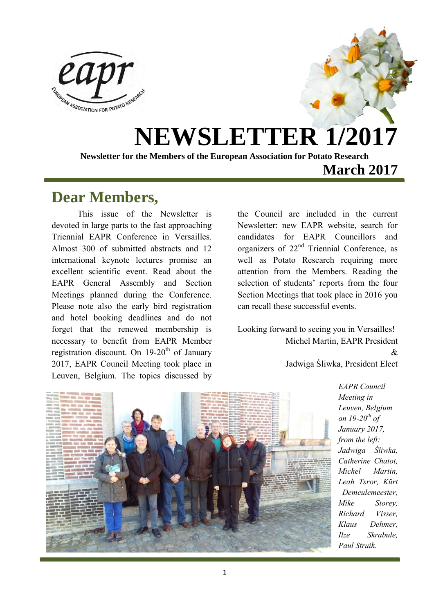

# **NEWSLETTER 1/2017**

**Newsletter for the Members of the European Association for Potato Research March 2017** 

### **Dear Members,**

This issue of the Newsletter is devoted in large parts to the fast approaching Triennial EAPR Conference in Versailles. Almost 300 of submitted abstracts and 12 international keynote lectures promise an excellent scientific event. Read about the EAPR General Assembly and Section Meetings planned during the Conference. Please note also the early bird registration and hotel booking deadlines and do not forget that the renewed membership is necessary to benefit from EAPR Member registration discount. On  $19-20<sup>th</sup>$  of January 2017, EAPR Council Meeting took place in Leuven, Belgium. The topics discussed by

the Council are included in the current Newsletter: new EAPR website, search for candidates for EAPR Councillors and organizers of 22nd Triennial Conference, as well as Potato Research requiring more attention from the Members. Reading the selection of students' reports from the four Section Meetings that took place in 2016 you can recall these successful events.

Looking forward to seeing you in Versailles! Michel Martin, EAPR President  $\mathcal{R}_{\mathcal{L}}$ Jadwiga Śliwka, President Elect



*EAPR Council Meeting in Leuven, Belgium on 19-20th of January 2017, from the left: Jadwiga Śliwka, Catherine Chatot, Michel Martin, Leah Tsror, Kürt Demeulemeester, Mike Storey, Richard Visser, Klaus Dehmer, Ilze Skrabule, Paul Struik.*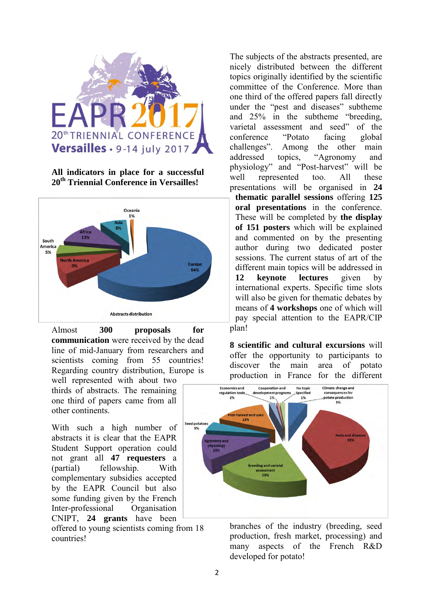

**All indicators in place for a successful 20th Triennial Conference in Versailles!**



Almost **300 proposals for communication** were received by the dead line of mid-January from researchers and scientists coming from 55 countries! Regarding country distribution, Europe is well represented with about two

thirds of abstracts. The remaining one third of papers came from all other continents.

With such a high number of abstracts it is clear that the EAPR Student Support operation could not grant all **47 requesters** a (partial) fellowship. With complementary subsidies accepted by the EAPR Council but also some funding given by the French Inter-professional Organisation CNIPT, **24 grants** have been

offered to young scientists coming from 18 countries!

The subjects of the abstracts presented, are nicely distributed between the different topics originally identified by the scientific committee of the Conference. More than one third of the offered papers fall directly under the "pest and diseases" subtheme and 25% in the subtheme "breeding, varietal assessment and seed" of the conference "Potato facing global challenges". Among the other main addressed topics, "Agronomy and physiology" and "Post-harvest" will be well represented too. All these presentations will be organised in **24** 

**thematic parallel sessions** offering **125 oral presentations** in the conference. These will be completed by **the display of 151 posters** which will be explained and commented on by the presenting author during two dedicated poster sessions. The current status of art of the different main topics will be addressed in **12 keynote lectures** given by international experts. Specific time slots will also be given for thematic debates by means of **4 workshops** one of which will pay special attention to the EAPR/CIP

plan!

**8 scientific and cultural excursions** will offer the opportunity to participants to discover the main area of potato production in France for the different



branches of the industry (breeding, seed production, fresh market, processing) and many aspects of the French R&D developed for potato!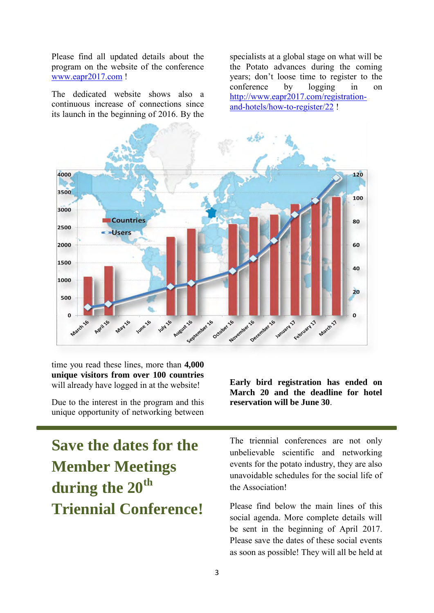Please find all updated details about the program on the website of the conference [www.eapr2017.com](http://www.eapr2017.com/) !

The dedicated website shows also a continuous increase of connections since its launch in the beginning of 2016. By the specialists at a global stage on what will be the Potato advances during the coming years; don't loose time to register to the conference by logging in on [http://www.eapr2017.com/registration](http://www.eapr2017.com/registration-and-hotels/how-to-register/22)[and-hotels/how-to-register/22](http://www.eapr2017.com/registration-and-hotels/how-to-register/22) !



time you read these lines, more than **4,000 unique visitors from over 100 countries** will already have logged in at the website!

Due to the interest in the program and this unique opportunity of networking between

**Save the dates for the Member Meetings during the 20th Triennial Conference!**  **Early bird registration has ended on March 20 and the deadline for hotel reservation will be June 30**.

The triennial conferences are not only unbelievable scientific and networking events for the potato industry, they are also unavoidable schedules for the social life of the Association!

Please find below the main lines of this social agenda. More complete details will be sent in the beginning of April 2017. Please save the dates of these social events as soon as possible! They will all be held at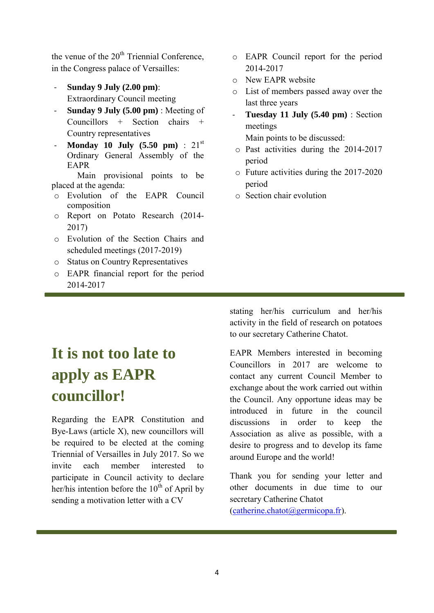the venue of the  $20<sup>th</sup>$  Triennial Conference, in the Congress palace of Versailles:

- **Sunday 9 July (2.00 pm)**: Extraordinary Council meeting
- **Sunday 9 July (5.00 pm)** : Meeting of Councillors + Section chairs + Country representatives
- **Monday 10 July (5.50 pm)** : 21<sup>st</sup> Ordinary General Assembly of the EAPR

Main provisional points to be placed at the agenda:

- o Evolution of the EAPR Council composition
- o Report on Potato Research (2014- 2017)
- o Evolution of the Section Chairs and scheduled meetings (2017-2019)
- o Status on Country Representatives
- o EAPR financial report for the period 2014-2017
- o EAPR Council report for the period 2014-2017
- o New EAPR website
- o List of members passed away over the last three years
- **Tuesday 11 July (5.40 pm)** : Section meetings

Main points to be discussed:

- o Past activities during the 2014-2017 period
- o Future activities during the 2017-2020 period
- o Section chair evolution

# **It is not too late to apply as EAPR councillor!**

Regarding the EAPR Constitution and Bye-Laws (article X), new councillors will be required to be elected at the coming Triennial of Versailles in July 2017. So we invite each member interested to participate in Council activity to declare her/his intention before the  $10^{th}$  of April by sending a motivation letter with a CV

stating her/his curriculum and her/his activity in the field of research on potatoes to our secretary Catherine Chatot.

EAPR Members interested in becoming Councillors in 2017 are welcome to contact any current Council Member to exchange about the work carried out within the Council. Any opportune ideas may be introduced in future in the council discussions in order to keep the Association as alive as possible, with a desire to progress and to develop its fame around Europe and the world!

Thank you for sending your letter and other documents in due time to our secretary Catherine Chatot  $(catherine.chatot@germicopa.fr)$ .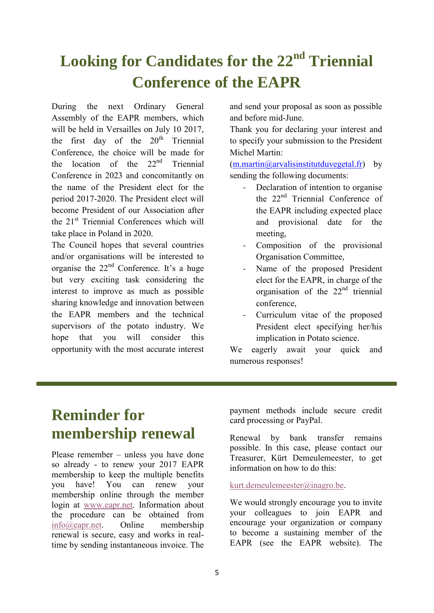# **Looking for Candidates for the 22nd Triennial Conference of the EAPR**

During the next Ordinary General Assembly of the EAPR members, which will be held in Versailles on July 10 2017, the first day of the  $20<sup>th</sup>$  Triennial Conference, the choice will be made for the location of the  $22<sup>nd</sup>$  Triennial Conference in 2023 and concomitantly on the name of the President elect for the period 2017-2020. The President elect will become President of our Association after the 21st Triennial Conferences which will take place in Poland in 2020.

The Council hopes that several countries and/or organisations will be interested to organise the 22nd Conference. It's a huge but very exciting task considering the interest to improve as much as possible sharing knowledge and innovation between the EAPR members and the technical supervisors of the potato industry. We hope that you will consider this opportunity with the most accurate interest and send your proposal as soon as possible and before mid-June.

Thank you for declaring your interest and to specify your submission to the President Michel Martin:

 $(m.martin@arvalisinstitutduvegetal.fr)$  by sending the following documents:

- Declaration of intention to organise the 22nd Triennial Conference of the EAPR including expected place and provisional date for the meeting,
- Composition of the provisional Organisation Committee,
- Name of the proposed President elect for the EAPR, in charge of the organisation of the  $22<sup>nd</sup>$  triennial conference,
- Curriculum vitae of the proposed President elect specifying her/his implication in Potato science.

We eagerly await your quick and numerous responses!

## **Reminder for membership renewal**

Please remember – unless you have done so already - to renew your 2017 EAPR membership to keep the multiple benefits you have! You can renew your membership online through the member login at [www.eapr.net.](http://www.eapr.net/) Information about the procedure can be obtained from [info@eapr.net.](mailto:info@eapr.net) Online membership renewal is secure, easy and works in realtime by sending instantaneous invoice. The payment methods include secure credit card processing or PayPal.

Renewal by bank transfer remains possible. In this case, please contact our Treasurer, Kürt Demeulemeester, to get information on how to do this:

### [kurt.demeulemeester@inagro.be.](mailto:kurt.demeulemeester@inagro.be)

We would strongly encourage you to invite your colleagues to join EAPR and encourage your organization or company to become a sustaining member of the EAPR (see the EAPR website). The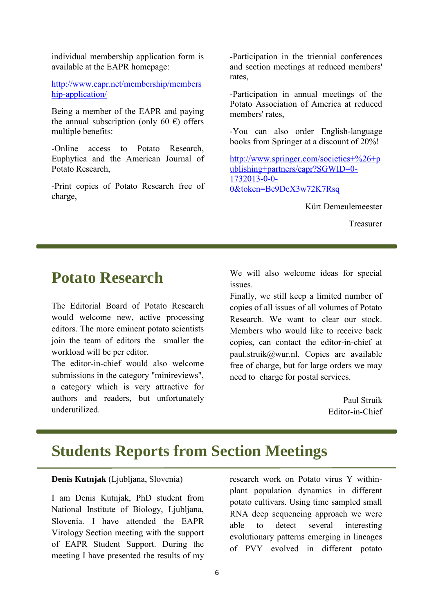individual membership application form is available at the EAPR homepage:

[http://www.eapr.net/membership/members](http://www.eapr.net/membership/membership-application/) [hip-application/](http://www.eapr.net/membership/membership-application/)

Being a member of the EAPR and paying the annual subscription (only 60  $\epsilon$ ) offers multiple benefits:

-Online access to Potato Research, Euphytica and the American Journal of Potato Research,

-Print copies of Potato Research free of charge,

-Participation in the triennial conferences and section meetings at reduced members' rates,

-Participation in annual meetings of the Potato Association of America at reduced members' rates,

-You can also order English-language books from Springer at a discount of 20%!

[http://www.springer.com/societies+%26+p](http://www.springer.com/societies+%26+publishing+partners/eapr?SGWID=0-1732013-0-0-0&token=Be9DeX3w72K7Rsq) [ublishing+partners/eapr?SGWID=0-](http://www.springer.com/societies+%26+publishing+partners/eapr?SGWID=0-1732013-0-0-0&token=Be9DeX3w72K7Rsq) [1732013-0-0-](http://www.springer.com/societies+%26+publishing+partners/eapr?SGWID=0-1732013-0-0-0&token=Be9DeX3w72K7Rsq) [0&token=Be9DeX3w72K7Rsq](http://www.springer.com/societies+%26+publishing+partners/eapr?SGWID=0-1732013-0-0-0&token=Be9DeX3w72K7Rsq) 

Kürt Demeulemeester

Treasurer

### **Potato Research**

The Editorial Board of Potato Research would welcome new, active processing editors. The more eminent potato scientists join the team of editors the smaller the workload will be per editor.

The editor-in-chief would also welcome submissions in the category "minireviews", a category which is very attractive for authors and readers, but unfortunately underutilized.

We will also welcome ideas for special issues.

Finally, we still keep a limited number of copies of all issues of all volumes of Potato Research. We want to clear our stock. Members who would like to receive back copies, can contact the editor-in-chief at paul.struik@wur.nl. Copies are available free of charge, but for large orders we may need to charge for postal services.

> Paul Struik Editor-in-Chief

### **Students Reports from Section Meetings**

#### **Denis Kutnjak** (Ljubljana, Slovenia)

I am Denis Kutnjak, PhD student from National Institute of Biology, Ljubljana, Slovenia. I have attended the EAPR Virology Section meeting with the support of EAPR Student Support. During the meeting I have presented the results of my research work on Potato virus Y withinplant population dynamics in different potato cultivars. Using time sampled small RNA deep sequencing approach we were able to detect several interesting evolutionary patterns emerging in lineages of PVY evolved in different potato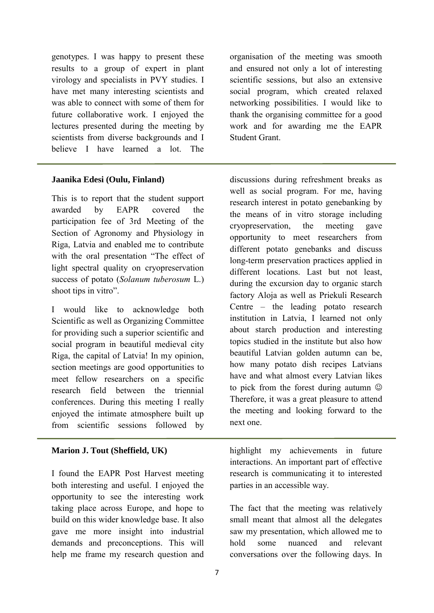genotypes. I was happy to present these results to a group of expert in plant virology and specialists in PVY studies. I have met many interesting scientists and was able to connect with some of them for future collaborative work. I enjoyed the lectures presented during the meeting by scientists from diverse backgrounds and I believe I have learned a lot. The

#### **Jaanika Edesi (Oulu, Finland)**

This is to report that the student support awarded by EAPR covered the participation fee of 3rd Meeting of the Section of Agronomy and Physiology in Riga, Latvia and enabled me to contribute with the oral presentation "The effect of light spectral quality on cryopreservation success of potato (*Solanum tuberosum* L.) shoot tips in vitro".

I would like to acknowledge both Scientific as well as Organizing Committee for providing such a superior scientific and social program in beautiful medieval city Riga, the capital of Latvia! In my opinion, section meetings are good opportunities to meet fellow researchers on a specific research field between the triennial conferences. During this meeting I really enjoyed the intimate atmosphere built up from scientific sessions followed by

### **Marion J. Tout (Sheffield, UK)**

I found the EAPR Post Harvest meeting both interesting and useful. I enjoyed the opportunity to see the interesting work taking place across Europe, and hope to build on this wider knowledge base. It also gave me more insight into industrial demands and preconceptions. This will help me frame my research question and organisation of the meeting was smooth and ensured not only a lot of interesting scientific sessions, but also an extensive social program, which created relaxed networking possibilities. I would like to thank the organising committee for a good work and for awarding me the EAPR Student Grant.

discussions during refreshment breaks as well as social program. For me, having research interest in potato genebanking by the means of in vitro storage including cryopreservation, the meeting gave opportunity to meet researchers from different potato genebanks and discuss long-term preservation practices applied in different locations. Last but not least, during the excursion day to organic starch factory Aloja as well as Priekuli Research Centre – the leading potato research institution in Latvia, I learned not only about starch production and interesting topics studied in the institute but also how beautiful Latvian golden autumn can be, how many potato dish recipes Latvians have and what almost every Latvian likes to pick from the forest during autumn Therefore, it was a great pleasure to attend the meeting and looking forward to the next one.

highlight my achievements in future interactions. An important part of effective research is communicating it to interested parties in an accessible way.

The fact that the meeting was relatively small meant that almost all the delegates saw my presentation, which allowed me to hold some nuanced and relevant conversations over the following days. In